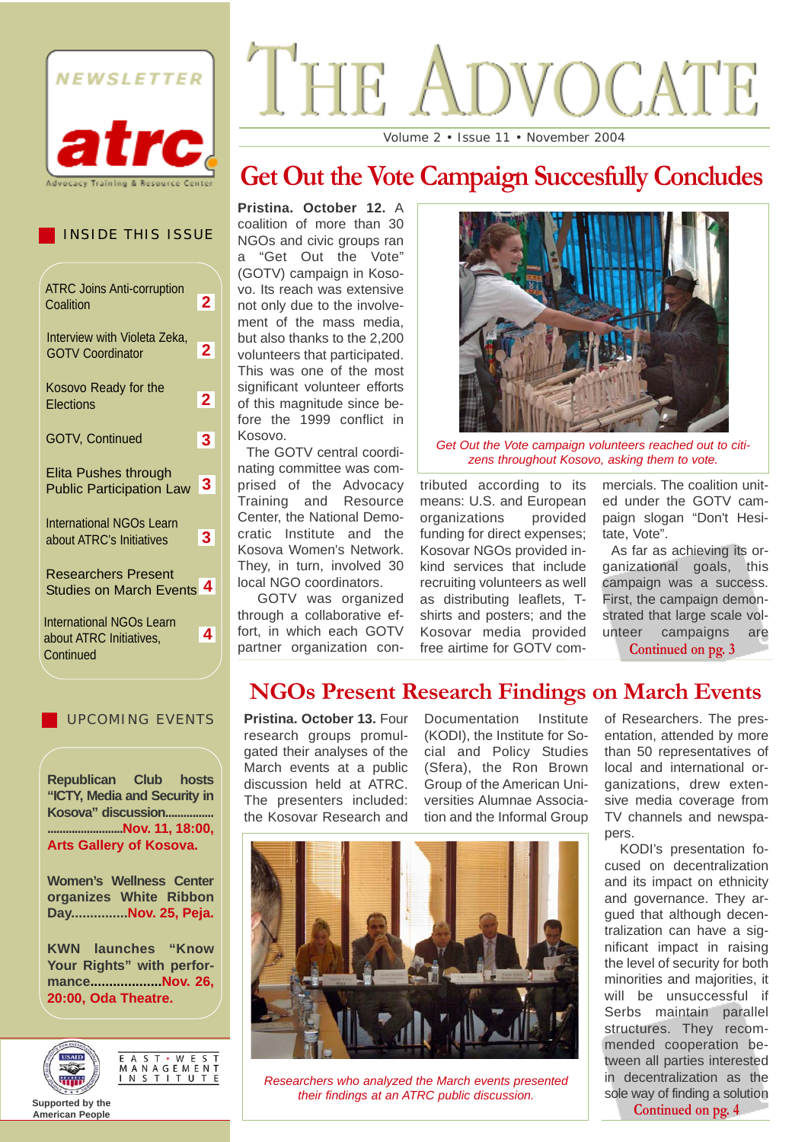

#### INSIDE THIS ISSUE

| <b>ATRC Joins Anti-corruption</b><br>Coalition                          | $\mathbf{2}$            |
|-------------------------------------------------------------------------|-------------------------|
| Interview with Violeta Zeka,<br><b>GOTV Coordinator</b>                 | $\mathbf{2}$            |
| Kosovo Ready for the<br>Elections                                       | $\overline{2}$          |
| <b>GOTV, Continued</b>                                                  | $\overline{\mathbf{3}}$ |
| Elita Pushes through<br><b>Public Participation Law</b>                 | 3                       |
| <b>International NGOs Learn</b><br>about ATRC's Initiatives             | 3 <sup>1</sup>          |
| <b>Researchers Present</b><br><b>Studies on March Events</b>            | 4                       |
| <b>International NGOs Learn</b><br>about ATRC Initiatives,<br>Continued | 4                       |

#### UPCOMING EVENTS

**Republican Club hosts "ICTY, Media and Security in Kosova" discussion................ .........................Nov. 11, 18:00, Arts Gallery of Kosova.** 

**Women's Wellness Center organizes White Ribbon Day...............Nov. 25, Peja.** 

**KWN launches "Know Your Rights" with performance...................Nov. 26, 20:00, Oda Theatre.**



E A S T · W E S T<br>M A N A G E M E N T<br>I N S T I T U T E

#### **Supported by the American People**

# THE VOCATE

Volume 2 • Issue 11 • November 2004

# **Get Out the Vote Campaign Succesfully Concludes**

**Pristina. October 12.** A coalition of more than 30 NGOs and civic groups ran a "Get Out the Vote" (GOTV) campaign in Kosovo. Its reach was extensive not only due to the involvement of the mass media. but also thanks to the 2,200 volunteers that participated. This was one of the most significant volunteer efforts of this magnitude since before the 1999 conflict in Kosovo.

The GOTV central coordinating committee was comprised of the Advocacy Training and Resource Center, the National Democratic Institute and the Kosova Women's Network. They, in turn, involved 30 local NGO coordinators.

GOTV was organized through a collaborative effort, in which each GOTV partner organization con-



*Get Out the Vote campaign volunteers reached out to citizens throughout Kosovo, asking them to vote.*

tributed according to its means: U.S. and European organizations provided funding for direct expenses; Kosovar NGOs provided inkind services that include recruiting volunteers as well as distributing leaflets, Tshirts and posters; and the Kosovar media provided free airtime for GOTV commercials. The coalition united under the GOTV campaign slogan "Don't Hesitate, Vote".

As far as achieving its organizational goals, this campaign was a success. First, the campaign demonstrated that large scale volunteer campaigns are **Continued on pg. 3** 

### **NGOs Present Research Findings on March Events**

**Pristina. October 13.** Four research groups promulgated their analyses of the March events at a public discussion held at ATRC. The presenters included: the Kosovar Research and

Documentation Institute (KODI), the Institute for Social and Policy Studies (Sfera), the Ron Brown Group of the American Universities Alumnae Association and the Informal Group



*Researchers who analyzed the March events presented their findings at an ATRC public discussion.*

of Researchers. The presentation, attended by more than 50 representatives of local and international organizations, drew extensive media coverage from TV channels and newspapers.

KODI's presentation focused on decentralization and its impact on ethnicity and governance. They argued that although decentralization can have a significant impact in raising the level of security for both minorities and majorities, it will be unsuccessful if Serbs maintain parallel structures. They recommended cooperation between all parties interested in decentralization as the sole way of finding a solution **Continued on pg. 4**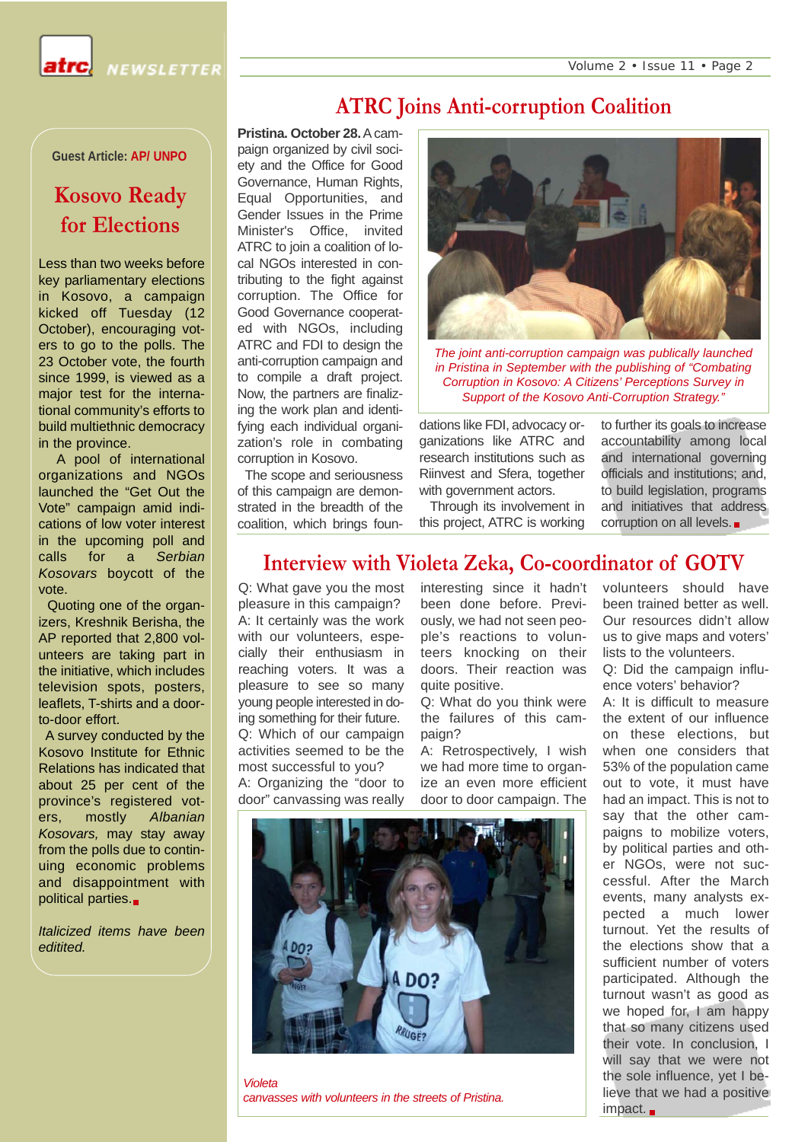Volume 2 • Issue 11 • Page 2

NEWSLETTER

**Guest Article: AP/ UNPO**

## **Kosovo Ready for Elections**

Less than two weeks before key parliamentary elections in Kosovo, a campaign kicked off Tuesday (12 October), encouraging voters to go to the polls. The 23 October vote, the fourth since 1999, is viewed as a major test for the international community's efforts to build multiethnic democracy in the province.

A pool of international organizations and NGOs launched the "Get Out the Vote" campaign amid indications of low voter interest in the upcoming poll and calls for a *Serbian Kosovars* boycott of the vote.

Quoting one of the organizers, Kreshnik Berisha, the AP reported that 2,800 volunteers are taking part in the initiative, which includes television spots, posters, leaflets, T-shirts and a doorto-door effort.

A survey conducted by the Kosovo Institute for Ethnic Relations has indicated that about 25 per cent of the province's registered voters, mostly *Albanian Kosovars,* may stay away from the polls due to continuing economic problems and disappointment with political parties.

*Italicized items have been editited.*

**Pristina. October 28.**A campaign organized by civil society and the Office for Good Governance, Human Rights, Equal Opportunities, and Gender Issues in the Prime Minister's Office, invited ATRC to join a coalition of local NGOs interested in contributing to the fight against corruption. The Office for Good Governance cooperated with NGOs, including ATRC and FDI to design the anti-corruption campaign and to compile a draft project. Now, the partners are finalizing the work plan and identifying each individual organization's role in combating corruption in Kosovo.

The scope and seriousness of this campaign are demonstrated in the breadth of the coalition, which brings foun-



*The joint anti-corruption campaign was publically launched in Pristina in September with the publishing of "Combating Corruption in Kosovo: A Citizens' Perceptions Survey in Support of the Kosovo Anti-Corruption Strategy."* 

dations like FDI, advocacy organizations like ATRC and research institutions such as Riinvest and Sfera, together with government actors.

**ATRC Joins Anti-corruption Coalition** 

Through its involvement in this project, ATRC is working to further its goals to increase accountability among local and international governing officials and institutions; and, to build legislation, programs and initiatives that address corruption on all levels.

#### **Interview with Violeta Zeka, Co-coordinator of GOTV**

Q: What gave you the most pleasure in this campaign? A: It certainly was the work with our volunteers, especially their enthusiasm in reaching voters. It was a pleasure to see so many young people interested in doing something for their future. Q: Which of our campaign activities seemed to be the most successful to you? A: Organizing the "door to door" canvassing was really

interesting since it hadn't been done before. Previously, we had not seen people's reactions to volunteers knocking on their doors. Their reaction was quite positive.

Q: What do you think were the failures of this campaign?

A: Retrospectively, I wish we had more time to organize an even more efficient door to door campaign. The

volunteers should have been trained better as well. Our resources didn't allow us to give maps and voters' lists to the volunteers.

Q: Did the campaign influence voters' behavior?

A: It is difficult to measure the extent of our influence on these elections, but when one considers that 53% of the population came out to vote, it must have had an impact. This is not to say that the other campaigns to mobilize voters, by political parties and other NGOs, were not successful. After the March events, many analysts expected a much lower turnout. Yet the results of the elections show that a sufficient number of voters participated. Although the turnout wasn't as good as we hoped for, I am happy that so many citizens used their vote. In conclusion, I will say that we were not the sole influence, yet I believe that we had a positive impact.



*Violeta canvasses with volunteers in the streets of Pristina.*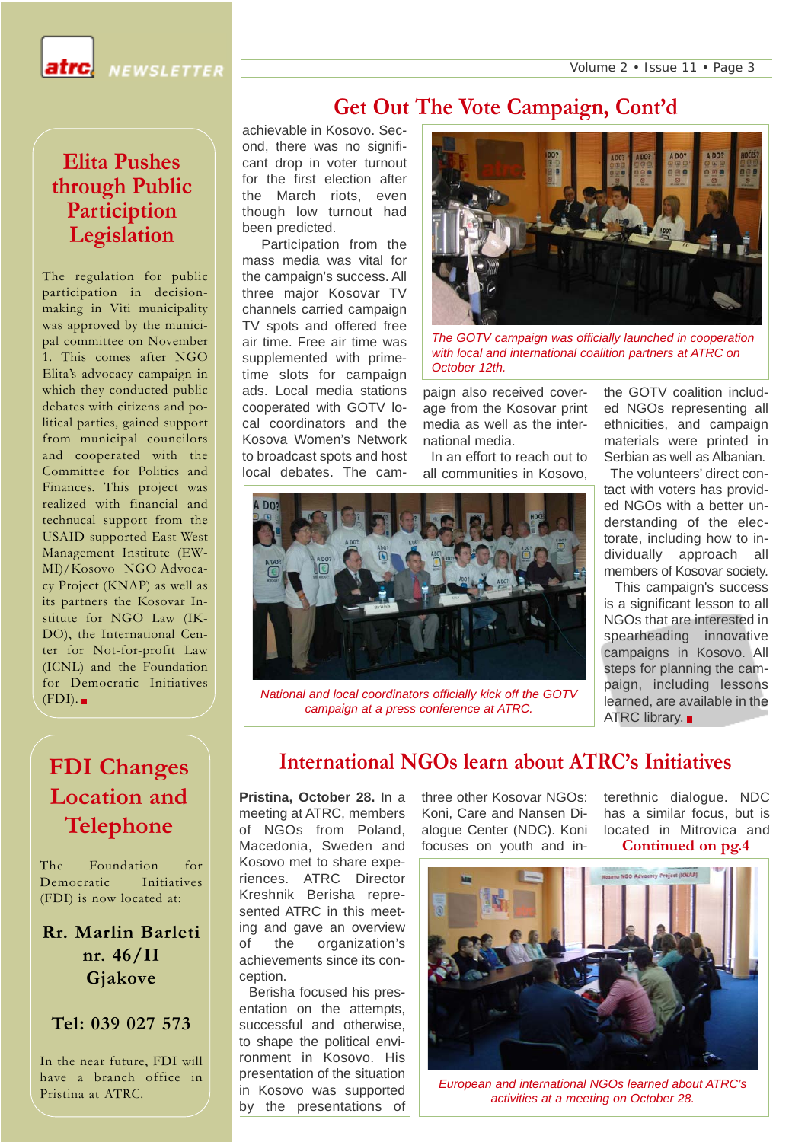Volume 2 • Issue 11 • Page 3

**NEWSLETTER** 

#### **Elita Pushes through Public Particiption Legislation**

The regulation for public participation in decisionmaking in Viti municipality was approved by the municipal committee on November 1. This comes after NGO Elita's advocacy campaign in which they conducted public debates with citizens and political parties, gained support from municipal councilors and cooperated with the Committee for Politics and Finances. This project was realized with financial and technucal support from the USAID-supported East West Management Institute (EW-MI)/Kosovo NGO Advocacy Project (KNAP) as well as its partners the Kosovar Institute for NGO Law (IK-DO), the International Center for Not-for-profit Law (ICNL) and the Foundation for Democratic Initiatives  $(FDI)$ .

# **FDI Changes Location and Telephone**

The Foundation for Democratic Initiatives (FDI) is now located at:

**Rr. Marlin Barleti nr. 46/II Gjakove**

#### **Tel: 039 027 573**

In the near future, FDI will have a branch office in Pristina at ATRC.

### **Get Out The Vote Campaign, Cont'd**

achievable in Kosovo. Second, there was no significant drop in voter turnout for the first election after the March riots, even though low turnout had been predicted.

Participation from the mass media was vital for the campaign's success. All three major Kosovar TV channels carried campaign TV spots and offered free air time. Free air time was supplemented with primetime slots for campaign ads. Local media stations cooperated with GOTV local coordinators and the Kosova Women's Network to broadcast spots and host local debates. The cam-



*The GOTV campaign was officially launched in cooperation with local and international coalition partners at ATRC on October 12th.*

paign also received coverage from the Kosovar print media as well as the international media.

In an effort to reach out to all communities in Kosovo,



*National and local coordinators officially kick off the GOTV campaign at a press conference at ATRC.*

the GOTV coalition included NGOs representing all ethnicities, and campaign materials were printed in Serbian as well as Albanian. The volunteers' direct con-

tact with voters has provided NGOs with a better understanding of the electorate, including how to individually approach all members of Kosovar society.

This campaign's success is a significant lesson to all NGOs that are interested in spearheading innovative campaigns in Kosovo. All steps for planning the campaign, including lessons learned, are available in the **ATRC library.** 

### **International NGOs learn about ATRC's Initiatives**

**Pristina, October 28.** In a meeting at ATRC, members of NGOs from Poland, Macedonia, Sweden and Kosovo met to share experiences. ATRC Director Kreshnik Berisha represented ATRC in this meeting and gave an overview of the organization's achievements since its conception.

Berisha focused his presentation on the attempts, successful and otherwise, to shape the political environment in Kosovo. His presentation of the situation in Kosovo was supported by the presentations of three other Kosovar NGOs: Koni, Care and Nansen Dialogue Center (NDC). Koni focuses on youth and in-

terethnic dialogue. NDC has a similar focus, but is located in Mitrovica and **Continued on pg.4**



*European and international NGOs learned about ATRC's activities at a meeting on October 28.*